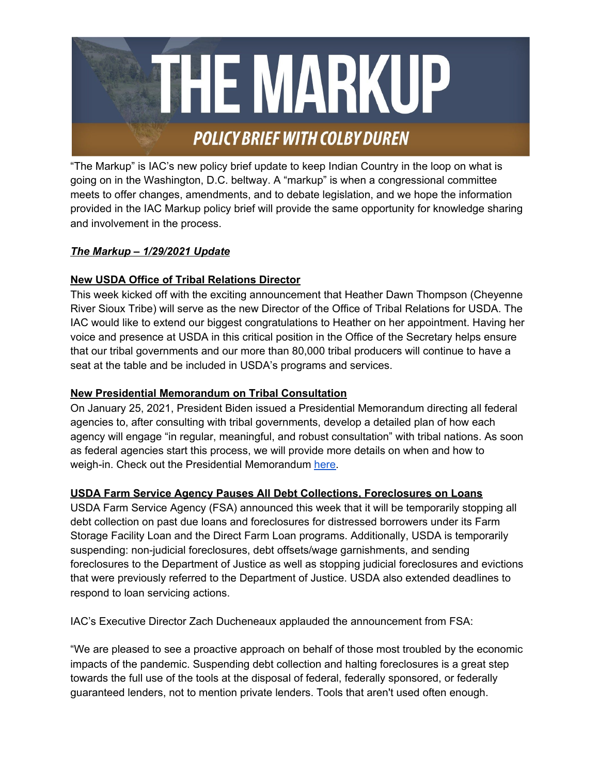

"The Markup" is IAC's new policy brief update to keep Indian Country in the loop on what is going on in the Washington, D.C. beltway. A "markup" is when a congressional committee meets to offer changes, amendments, and to debate legislation, and we hope the information provided in the IAC Markup policy brief will provide the same opportunity for knowledge sharing and involvement in the process.

# *The Markup – 1/29/2021 Update*

# **New USDA Office of Tribal Relations Director**

This week kicked off with the exciting announcement that Heather Dawn Thompson (Cheyenne River Sioux Tribe) will serve as the new Director of the Office of Tribal Relations for USDA. The IAC would like to extend our biggest congratulations to Heather on her appointment. Having her voice and presence at USDA in this critical position in the Office of the Secretary helps ensure that our tribal governments and our more than 80,000 tribal producers will continue to have a seat at the table and be included in USDA's programs and services.

# **New Presidential Memorandum on Tribal Consultation**

On January 25, 2021, President Biden issued a Presidential Memorandum directing all federal agencies to, after consulting with tribal governments, develop a detailed plan of how each agency will engage "in regular, meaningful, and robust consultation" with tribal nations. As soon as federal agencies start this process, we will provide more details on when and how to weigh-in. Check out the Presidential Memorandum [here.](https://www.whitehouse.gov/briefing-room/presidential-actions/2021/01/26/memorandum-on-tribal-consultation-and-strengthening-nation-to-nation-relationships)

# **USDA Farm Service Agency Pauses All Debt Collections, Foreclosures on Loans**

USDA Farm Service Agency (FSA) announced this week that it will be temporarily stopping all debt collection on past due loans and foreclosures for distressed borrowers under its Farm Storage Facility Loan and the Direct Farm Loan programs. Additionally, USDA is temporarily suspending: non-judicial foreclosures, debt offsets/wage garnishments, and sending foreclosures to the Department of Justice as well as stopping judicial foreclosures and evictions that were previously referred to the Department of Justice. USDA also extended deadlines to respond to loan servicing actions.

IAC's Executive Director Zach Ducheneaux applauded the announcement from FSA:

"We are pleased to see a proactive approach on behalf of those most troubled by the economic impacts of the pandemic. Suspending debt collection and halting foreclosures is a great step towards the full use of the tools at the disposal of federal, federally sponsored, or federally guaranteed lenders, not to mention private lenders. Tools that aren't used often enough.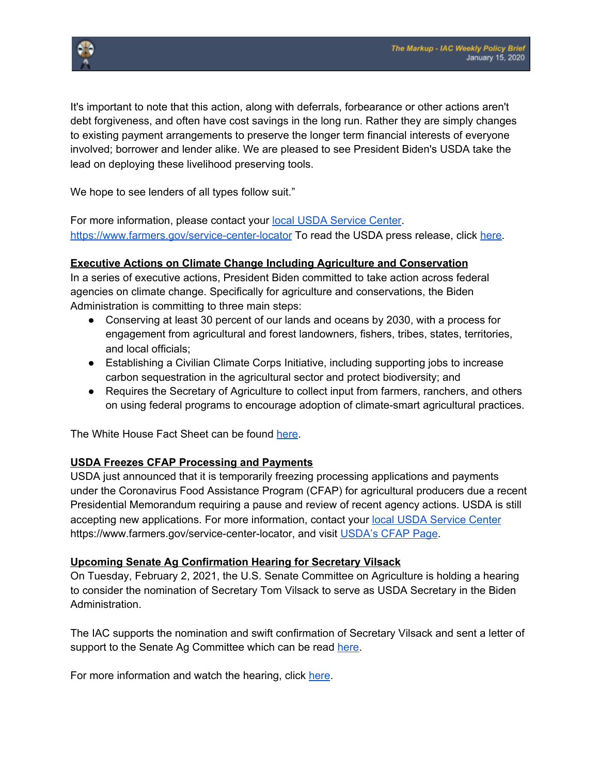

It's important to note that this action, along with deferrals, forbearance or other actions aren't debt forgiveness, and often have cost savings in the long run. Rather they are simply changes to existing payment arrangements to preserve the longer term financial interests of everyone involved; borrower and lender alike. We are pleased to see President Biden's USDA take the lead on deploying these livelihood preserving tools.

We hope to see lenders of all types follow suit."

For more information, please contact your **local USDA [Service](https://www.farmers.gov/service-center-locator) Center**. <https://www.farmers.gov/service-center-locator> To read the USDA press release, click [here](https://www.fsa.usda.gov/news-room/news-releases/2021/usda-temporarily-suspends-debt-collections-foreclosures-and-other-activities-on-farm-loans-for-several-thousand-distressed-borrowers-due-to-coronavirus).

### **Executive Actions on Climate Change Including Agriculture and Conservation**

In a series of executive actions, President Biden committed to take action across federal agencies on climate change. Specifically for agriculture and conservations, the Biden Administration is committing to three main steps:

- Conserving at least 30 percent of our lands and oceans by 2030, with a process for engagement from agricultural and forest landowners, fishers, tribes, states, territories, and local officials;
- Establishing a Civilian Climate Corps Initiative, including supporting jobs to increase carbon sequestration in the agricultural sector and protect biodiversity; and
- Requires the Secretary of Agriculture to collect input from farmers, ranchers, and others on using federal programs to encourage adoption of climate-smart agricultural practices.

The White House Fact Sheet can be found [here](https://www.whitehouse.gov/briefing-room/statements-releases/2021/01/27/fact-sheet-president-biden-takes-executive-actions-to-tackle-the-climate-crisis-at-home-and-abroad-create-jobs-and-restore-scientific-integrity-across-federal-government/).

# **USDA Freezes CFAP Processing and Payments**

USDA just announced that it is temporarily freezing processing applications and payments under the Coronavirus Food Assistance Program (CFAP) for agricultural producers due a recent Presidential Memorandum requiring a pause and review of recent agency actions. USDA is still accepting new applications. For more information, contact your local USDA [Service](https://www.farmers.gov/service-center-locator) Center https://www.farmers.gov/service-center-locator, and visit [USDA's](https://www.farmers.gov/cfap) CFAP Page.

#### **Upcoming Senate Ag Confirmation Hearing for Secretary Vilsack**

On Tuesday, February 2, 2021, the U.S. Senate Committee on Agriculture is holding a hearing to consider the nomination of Secretary Tom Vilsack to serve as USDA Secretary in the Biden Administration.

The IAC supports the nomination and swift confirmation of Secretary Vilsack and sent a letter of support to the Senate Ag Committee which can be read [here.](https://28d595ea-c9bb-4218-87df-a3cbf4d05915.filesusr.com/ugd/d039dc_c51eecc9335444bfac6fd888f3663048.pdf)

For more information and watch the hearing, click [here.](https://www.agriculture.senate.gov/hearings/to-consider-the-following-nomination-thomas-j-vilsack-of-iowa-to-be-secretary-of-agriculture)